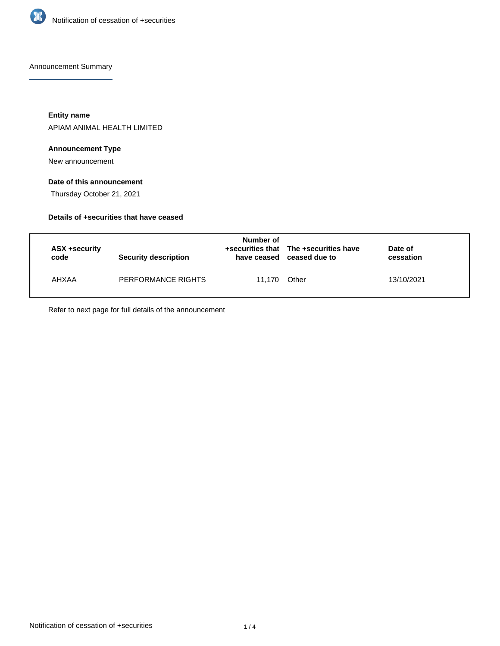

Announcement Summary

**Entity name**

APIAM ANIMAL HEALTH LIMITED

#### **Announcement Type**

New announcement

# **Date of this announcement**

Thursday October 21, 2021

#### **Details of +securities that have ceased**

| ASX +security<br>code | <b>Security description</b> | Number of<br>have ceased | +securities that The +securities have<br>ceased due to | Date of<br>cessation |  |
|-----------------------|-----------------------------|--------------------------|--------------------------------------------------------|----------------------|--|
| AHXAA                 | PERFORMANCE RIGHTS          | 11.170                   | Other                                                  | 13/10/2021           |  |

Refer to next page for full details of the announcement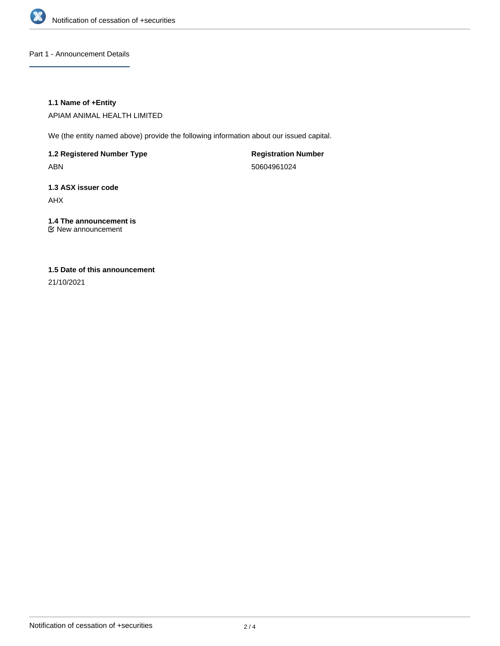

Part 1 - Announcement Details

# **1.1 Name of +Entity**

APIAM ANIMAL HEALTH LIMITED

We (the entity named above) provide the following information about our issued capital.

**1.2 Registered Number Type** ABN

**Registration Number** 50604961024

**1.3 ASX issuer code** AHX

**1.4 The announcement is** New announcement

#### **1.5 Date of this announcement**

21/10/2021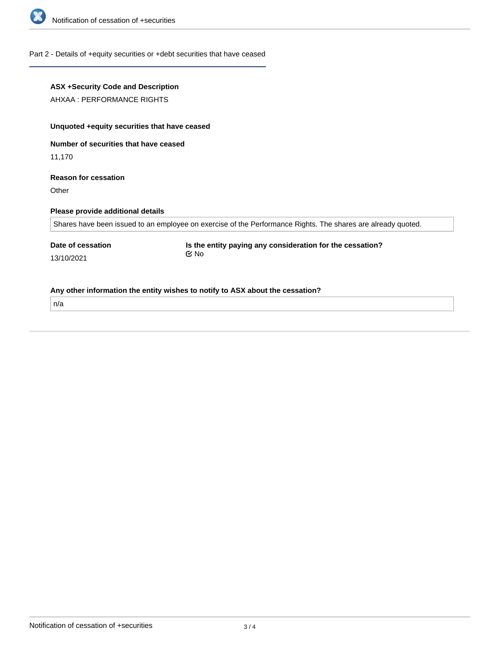

# Part 2 - Details of +equity securities or +debt securities that have ceased

| ASX +Security Code and Description<br>AHXAA : PERFORMANCE RIGHTS |                                                                                                              |  |
|------------------------------------------------------------------|--------------------------------------------------------------------------------------------------------------|--|
| Unquoted +equity securities that have ceased                     |                                                                                                              |  |
| Number of securities that have ceased                            |                                                                                                              |  |
| 11,170                                                           |                                                                                                              |  |
| <b>Reason for cessation</b><br>Other                             |                                                                                                              |  |
| Please provide additional details                                |                                                                                                              |  |
|                                                                  | Shares have been issued to an employee on exercise of the Performance Rights. The shares are already quoted. |  |
| Date of cessation                                                | Is the entity paying any consideration for the cessation?<br>$\alpha$ No                                     |  |
| 13/10/2021                                                       |                                                                                                              |  |
|                                                                  | Any other information the entity wishes to notify to ASX about the cessation?                                |  |
| n/a                                                              |                                                                                                              |  |